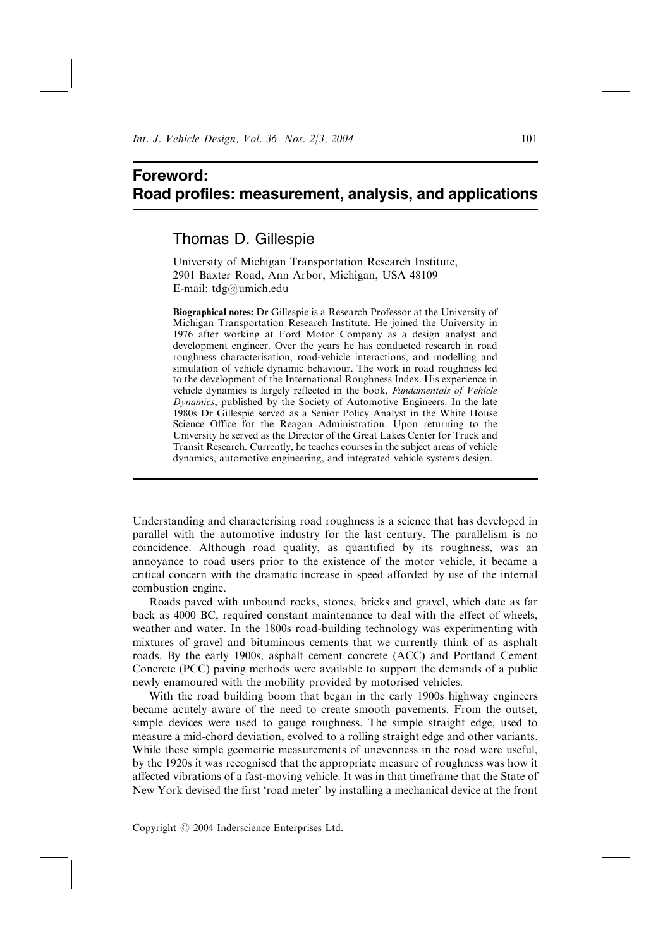## Foreword: Road profiles: measurement, analysis, and applications

## Thomas D. Gillespie

University of Michigan Transportation Research Institute, 2901 Baxter Road, Ann Arbor, Michigan, USA 48109 E-mail: tdg@umich.edu

Biographical notes: Dr Gillespie is a Research Professor at the University of Michigan Transportation Research Institute. He joined the University in 1976 after working at Ford Motor Company as a design analyst and development engineer. Over the years he has conducted research in road roughness characterisation, road-vehicle interactions, and modelling and simulation of vehicle dynamic behaviour. The work in road roughness led to the development of the International Roughness Index. His experience in vehicle dynamics is largely reflected in the book, Fundamentals of Vehicle Dynamics, published by the Society of Automotive Engineers. In the late 1980s Dr Gillespie served as a Senior Policy Analyst in the White House Science Office for the Reagan Administration. Upon returning to the University he served as the Director of the Great Lakes Center for Truck and Transit Research. Currently, he teaches courses in the subject areas of vehicle dynamics, automotive engineering, and integrated vehicle systems design.

Understanding and characterising road roughness is a science that has developed in parallel with the automotive industry for the last century. The parallelism is no coincidence. Although road quality, as quantified by its roughness, was an annoyance to road users prior to the existence of the motor vehicle, it became a critical concern with the dramatic increase in speed afforded by use of the internal combustion engine.

Roads paved with unbound rocks, stones, bricks and gravel, which date as far back as 4000 BC, required constant maintenance to deal with the effect of wheels, weather and water. In the 1800s road-building technology was experimenting with mixtures of gravel and bituminous cements that we currently think of as asphalt roads. By the early 1900s, asphalt cement concrete (ACC) and Portland Cement Concrete (PCC) paving methods were available to support the demands of a public newly enamoured with the mobility provided by motorised vehicles.

With the road building boom that began in the early 1900s highway engineers became acutely aware of the need to create smooth pavements. From the outset, simple devices were used to gauge roughness. The simple straight edge, used to measure a mid-chord deviation, evolved to a rolling straight edge and other variants. While these simple geometric measurements of unevenness in the road were useful, by the 1920s it was recognised that the appropriate measure of roughness was how it affected vibrations of a fast-moving vehicle. It was in that timeframe that the State of New York devised the first 'road meter' by installing a mechanical device at the front

Copyright  $\odot$  2004 Inderscience Enterprises Ltd.